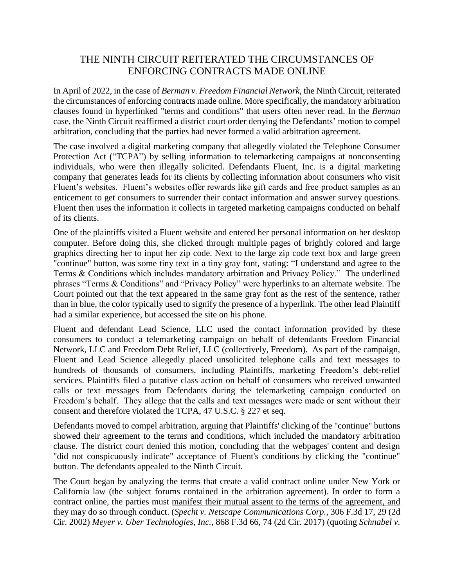## THE NINTH CIRCUIT REITERATED THE CIRCUMSTANCES OF ENFORCING CONTRACTS MADE ONLINE

In April of 2022, in the case of *Berman v. Freedom Financial Network*, the Ninth Circuit, reiterated the circumstances of enforcing contracts made online. More specifically, the mandatory arbitration clauses found in hyperlinked "terms and conditions" that users often never read. In the *Berman* case, the Ninth Circuit reaffirmed a district court order denying the Defendants' motion to compel arbitration, concluding that the parties had never formed a valid arbitration agreement.

The case involved a digital marketing company that allegedly violated the Telephone Consumer Protection Act ("TCPA") by selling information to telemarketing campaigns at nonconsenting individuals, who were then illegally solicited. Defendants Fluent, Inc. is a digital marketing company that generates leads for its clients by collecting information about consumers who visit Fluent's websites. Fluent's websites offer rewards like gift cards and free product samples as an enticement to get consumers to surrender their contact information and answer survey questions. Fluent then uses the information it collects in targeted marketing campaigns conducted on behalf of its clients.

One of the plaintiffs visited a Fluent website and entered her personal information on her desktop computer. Before doing this, she clicked through multiple pages of brightly colored and large graphics directing her to input her zip code. Next to the large zip code text box and large green "continue" button, was some tiny text in a tiny gray font, stating: "I understand and agree to the Terms & Conditions which includes mandatory arbitration and Privacy Policy." The underlined phrases "Terms & Conditions" and "Privacy Policy" were hyperlinks to an alternate website. The Court pointed out that the text appeared in the same gray font as the rest of the sentence, rather than in blue, the color typically used to signify the presence of a hyperlink. The other lead Plaintiff had a similar experience, but accessed the site on his phone.

Fluent and defendant Lead Science, LLC used the contact information provided by these consumers to conduct a telemarketing campaign on behalf of defendants Freedom Financial Network, LLC and Freedom Debt Relief, LLC (collectively, Freedom). As part of the campaign, Fluent and Lead Science allegedly placed unsolicited telephone calls and text messages to hundreds of thousands of consumers, including Plaintiffs, marketing Freedom's debt-relief services. Plaintiffs filed a putative class action on behalf of consumers who received unwanted calls or text messages from Defendants during the telemarketing campaign conducted on Freedom's behalf. They allege that the calls and text messages were made or sent without their consent and therefore violated the TCPA, 47 U.S.C. § 227 et seq.

Defendants moved to compel arbitration, arguing that Plaintiffs' clicking of the "continue" buttons showed their agreement to the terms and conditions, which included the mandatory arbitration clause. The district court denied this motion, concluding that the webpages' content and design "did not conspicuously indicate" acceptance of Fluent's conditions by clicking the "continue" button. The defendants appealed to the Ninth Circuit.

The Court began by analyzing the terms that create a valid contract online under New York or California law (the subject forums contained in the arbitration agreement). In order to form a contract online, the parties must manifest their mutual assent to the terms of the agreement, and they may do so through conduct. (*Specht v. Netscape Communications Corp.*, 306 F.3d 17, 29 (2d Cir. 2002) *Meyer v. Uber Technologies, Inc.*, 868 F.3d 66, 74 (2d Cir. 2017) (quoting *Schnabel v.*